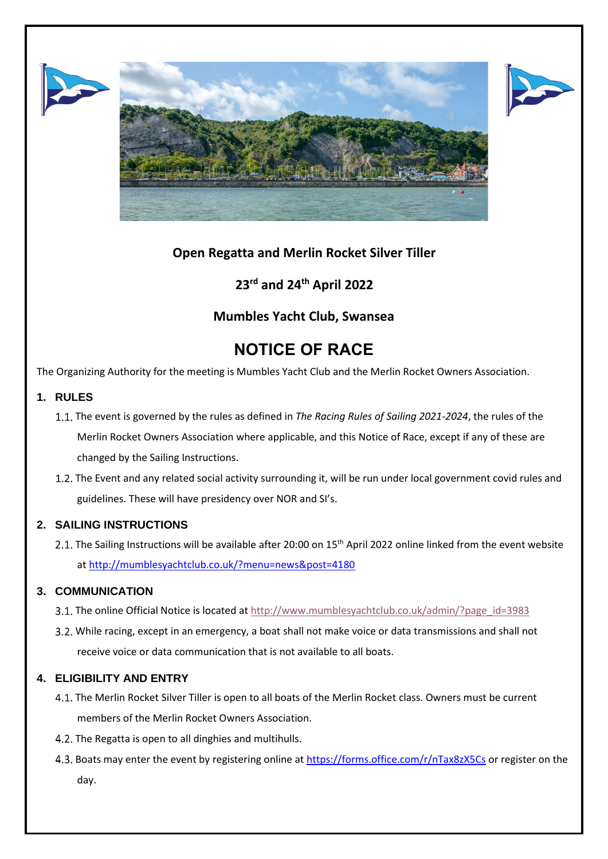





# **Open Regatta and Merlin Rocket Silver Tiller**

# **23rd and 24th April 2022**

## **Mumbles Yacht Club, Swansea**

# **NOTICE OF RACE**

The Organizing Authority for the meeting is Mumbles Yacht Club and the Merlin Rocket Owners Association.

## **1. RULES**

- The event is governed by the rules as defined in *The Racing Rules of Sailing 2021-2024*, the rules of the Merlin Rocket Owners Association where applicable, and this Notice of Race, except if any of these are changed by the Sailing Instructions.
- 1.2. The Event and any related social activity surrounding it, will be run under local government covid rules and guidelines. These will have presidency over NOR and SI's.

## **2. SAILING INSTRUCTIONS**

The Sailing Instructions will be available after 20:00 on 15<sup>th</sup> April 2022 online linked from the event website at <http://mumblesyachtclub.co.uk/?menu=news&post=4180>

## **3. COMMUNICATION**

- 3.1. The online Official Notice is located a[t http://www.mumblesyachtclub.co.uk/admin/?page\\_id=3983](http://www.mumblesyachtclub.co.uk/admin/?page_id=3983)
- 3.2. While racing, except in an emergency, a boat shall not make voice or data transmissions and shall not receive voice or data communication that is not available to all boats.

## **4. ELIGIBILITY AND ENTRY**

- The Merlin Rocket Silver Tiller is open to all boats of the Merlin Rocket class. Owners must be current members of the Merlin Rocket Owners Association.
- 4.2. The Regatta is open to all dinghies and multihulls.
- Boats may enter the event by registering online at <https://forms.office.com/r/nTax8zX5Cs> or register on the day.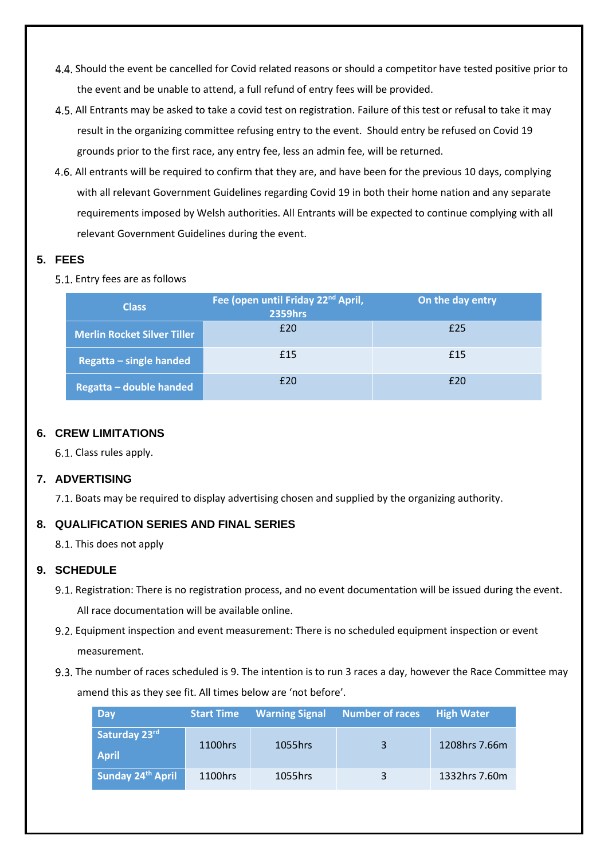- 4.4. Should the event be cancelled for Covid related reasons or should a competitor have tested positive prior to the event and be unable to attend, a full refund of entry fees will be provided.
- All Entrants may be asked to take a covid test on registration. Failure of this test or refusal to take it may result in the organizing committee refusing entry to the event. Should entry be refused on Covid 19 grounds prior to the first race, any entry fee, less an admin fee, will be returned.
- All entrants will be required to confirm that they are, and have been for the previous 10 days, complying with all relevant Government Guidelines regarding Covid 19 in both their home nation and any separate requirements imposed by Welsh authorities. All Entrants will be expected to continue complying with all relevant Government Guidelines during the event.

## **5. FEES**

5.1. Entry fees are as follows

| <b>Class</b>                       | Fee (open until Friday 22 <sup>nd</sup> April,<br><b>2359hrs</b> | On the day entry |
|------------------------------------|------------------------------------------------------------------|------------------|
| <b>Merlin Rocket Silver Tiller</b> | £20                                                              | £25              |
| <b>Regatta – single handed</b>     | £15                                                              | £15              |
| <b>Regatta - double handed</b>     | f20                                                              | £20              |

## **6. CREW LIMITATIONS**

6.1. Class rules apply.

## **7. ADVERTISING**

7.1. Boats may be required to display advertising chosen and supplied by the organizing authority.

## **8. QUALIFICATION SERIES AND FINAL SERIES**

8.1. This does not apply

## **9. SCHEDULE**

- 9.1. Registration: There is no registration process, and no event documentation will be issued during the event. All race documentation will be available online.
- Equipment inspection and event measurement: There is no scheduled equipment inspection or event measurement.
- 9.3. The number of races scheduled is 9. The intention is to run 3 races a day, however the Race Committee may amend this as they see fit. All times below are 'not before'.

| <b>Day</b>                    | <b>Start Time</b> | <b>Warning Signal</b> | Number of races | <b>High Water</b> |
|-------------------------------|-------------------|-----------------------|-----------------|-------------------|
| Saturday 23rd<br><b>April</b> | 1100hrs           | 1055hrs               | 3               | 1208hrs 7.66m     |
| Sunday 24th April             | 1100hrs           | 1055hrs               | 3               | 1332hrs 7.60m     |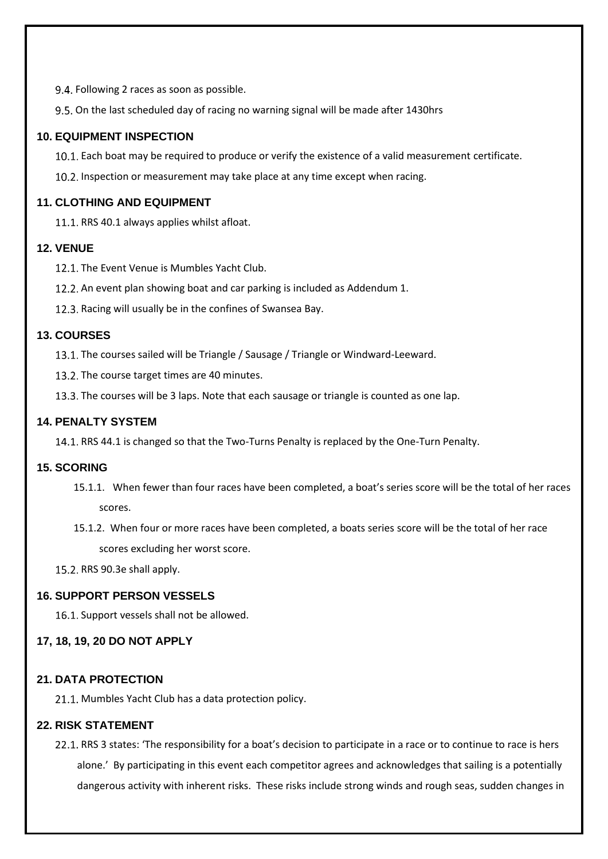9.4. Following 2 races as soon as possible.

9.5. On the last scheduled day of racing no warning signal will be made after 1430hrs

### **10. EQUIPMENT INSPECTION**

Each boat may be required to produce or verify the existence of a valid measurement certificate.

10.2. Inspection or measurement may take place at any time except when racing.

## **11. CLOTHING AND EQUIPMENT**

11.1. RRS 40.1 always applies whilst afloat.

#### **12. VENUE**

12.1. The Event Venue is Mumbles Yacht Club.

12.2. An event plan showing boat and car parking is included as Addendum 1.

12.3. Racing will usually be in the confines of Swansea Bay.

#### **13. COURSES**

The courses sailed will be Triangle / Sausage / Triangle or Windward-Leeward.

13.2. The course target times are 40 minutes.

13.3. The courses will be 3 laps. Note that each sausage or triangle is counted as one lap.

#### **14. PENALTY SYSTEM**

14.1. RRS 44.1 is changed so that the Two-Turns Penalty is replaced by the One-Turn Penalty.

#### **15. SCORING**

- 15.1.1. When fewer than four races have been completed, a boat's series score will be the total of her races scores.
- 15.1.2. When four or more races have been completed, a boats series score will be the total of her race scores excluding her worst score.

15.2. RRS 90.3e shall apply.

#### **16. SUPPORT PERSON VESSELS**

16.1. Support vessels shall not be allowed.

#### **17, 18, 19, 20 DO NOT APPLY**

#### **21. DATA PROTECTION**

21.1. Mumbles Yacht Club has a data protection policy.

#### **22. RISK STATEMENT**

22.1. RRS 3 states: 'The responsibility for a boat's decision to participate in a race or to continue to race is hers alone.' By participating in this event each competitor agrees and acknowledges that sailing is a potentially dangerous activity with inherent risks. These risks include strong winds and rough seas, sudden changes in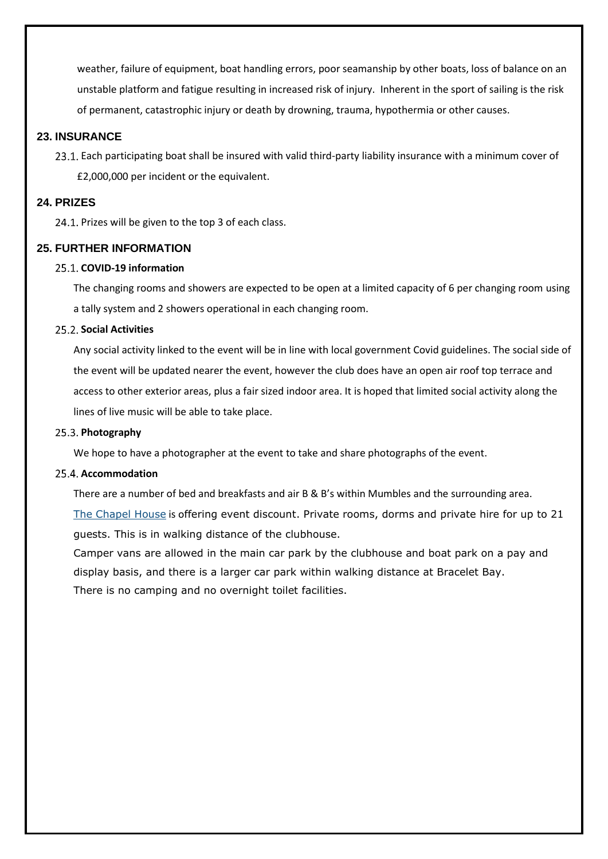weather, failure of equipment, boat handling errors, poor seamanship by other boats, loss of balance on an unstable platform and fatigue resulting in increased risk of injury. Inherent in the sport of sailing is the risk of permanent, catastrophic injury or death by drowning, trauma, hypothermia or other causes.

#### **23. INSURANCE**

23.1. Each participating boat shall be insured with valid third-party liability insurance with a minimum cover of £2,000,000 per incident or the equivalent.

#### **24. PRIZES**

24.1. Prizes will be given to the top 3 of each class.

#### **25. FURTHER INFORMATION**

#### **COVID-19 information**

The changing rooms and showers are expected to be open at a limited capacity of 6 per changing room using a tally system and 2 showers operational in each changing room.

#### **Social Activities**

Any social activity linked to the event will be in line with local government Covid guidelines. The social side of the event will be updated nearer the event, however the club does have an open air roof top terrace and access to other exterior areas, plus a fair sized indoor area. It is hoped that limited social activity along the lines of live music will be able to take place.

#### 25.3. Photography

We hope to have a photographer at the event to take and share photographs of the event.

#### 25.4. Accommodation

There are a number of bed and breakfasts and air B & B's within Mumbles and the surrounding area.

The [Chapel](https://thechapel.house/) House is offering event discount. Private rooms, dorms and private hire for up to 21 guests. This is in walking distance of the clubhouse.

Camper vans are allowed in the main car park by the clubhouse and boat park on a pay and display basis, and there is a larger car park within walking distance at Bracelet Bay. There is no camping and no overnight toilet facilities.